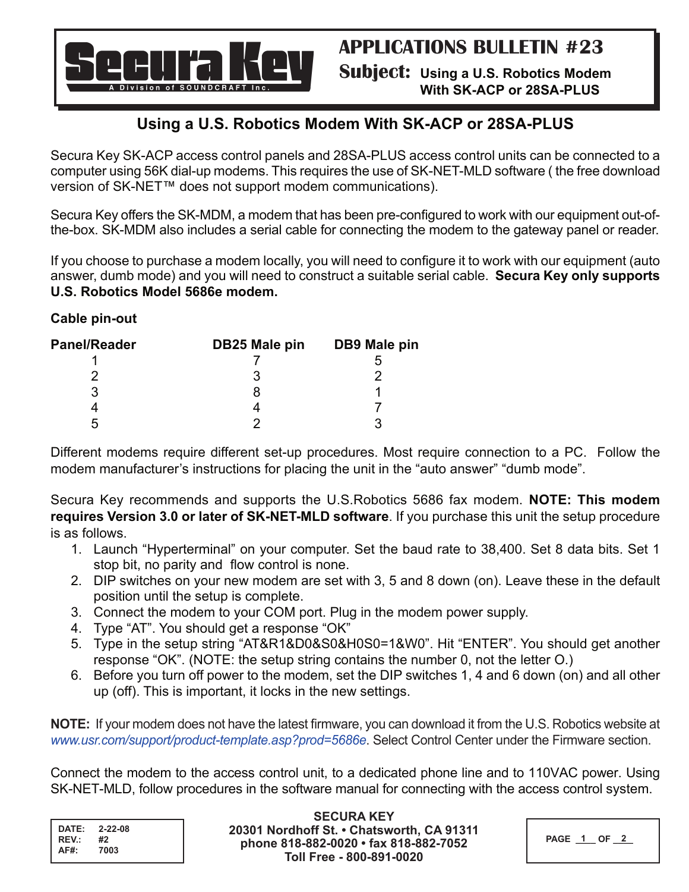

# **With SK-ACP or 28SA-PLUS**

# **Using a U.S. Robotics Modem With SK-ACP or 28SA-PLUS**

Secura Key SK-ACP access control panels and 28SA-PLUS access control units can be connected to a computer using 56K dial-up modems. This requires the use of SK-NET-MLD software ( the free download version of SK-NET™ does not support modem communications).

Secura Key offers the SK-MDM, a modem that has been pre-configured to work with our equipment out-ofthe-box. SK-MDM also includes a serial cable for connecting the modem to the gateway panel or reader.

If you choose to purchase a modem locally, you will need to configure it to work with our equipment (auto answer, dumb mode) and you will need to construct a suitable serial cable. **Secura Key only supports U.S. Robotics Model 5686e modem.** 

## **Cable pin-out**

| <b>Panel/Reader</b> | DB25 Male pin | DB9 Male pin |
|---------------------|---------------|--------------|
|                     |               |              |
|                     |               |              |
| ર                   |               |              |
|                     |               |              |
| ∽                   |               |              |

Different modems require different set-up procedures. Most require connection to a PC. Follow the modem manufacturer's instructions for placing the unit in the "auto answer" "dumb mode".

Secura Key recommends and supports the U.S.Robotics 5686 fax modem. **NOTE: This modem requires Version 3.0 or later of SK-NET-MLD software**. If you purchase this unit the setup procedure is as follows.

- 1. Launch "Hyperterminal" on your computer. Set the baud rate to 38,400. Set 8 data bits. Set 1 stop bit, no parity and flow control is none.
- 2. DIP switches on your new modem are set with 3, 5 and 8 down (on). Leave these in the default position until the setup is complete.
- 3. Connect the modem to your COM port. Plug in the modem power supply.
- 4. Type "AT". You should get a response "OK"
- 5. Type in the setup string "AT&R1&D0&S0&H0S0=1&W0". Hit "ENTER". You should get another response "OK". (NOTE: the setup string contains the number 0, not the letter O.)
- 6. Before you turn off power to the modem, set the DIP switches 1, 4 and 6 down (on) and all other up (off). This is important, it locks in the new settings.

**NOTE:** If your modem does not have the latest firmware, you can download it from the U.S. Robotics website at *www.usr.com/support/product-template.asp?prod=5686e*. Select Control Center under the Firmware section.

Connect the modem to the access control unit, to a dedicated phone line and to 110VAC power. Using SK-NET-MLD, follow procedures in the software manual for connecting with the access control system.

| DATE: | $2 - 22 - 08$ |
|-------|---------------|
| REV.: | #2            |
| AF#:  | 7003          |

**SECURA KEY 20301 Nordhoff St. • Chatsworth, CA 91311 phone 818-882-0020 • fax 818-882-7052 Toll Free - 800-891-0020**

| <b>PAGE</b> |  |
|-------------|--|
|-------------|--|